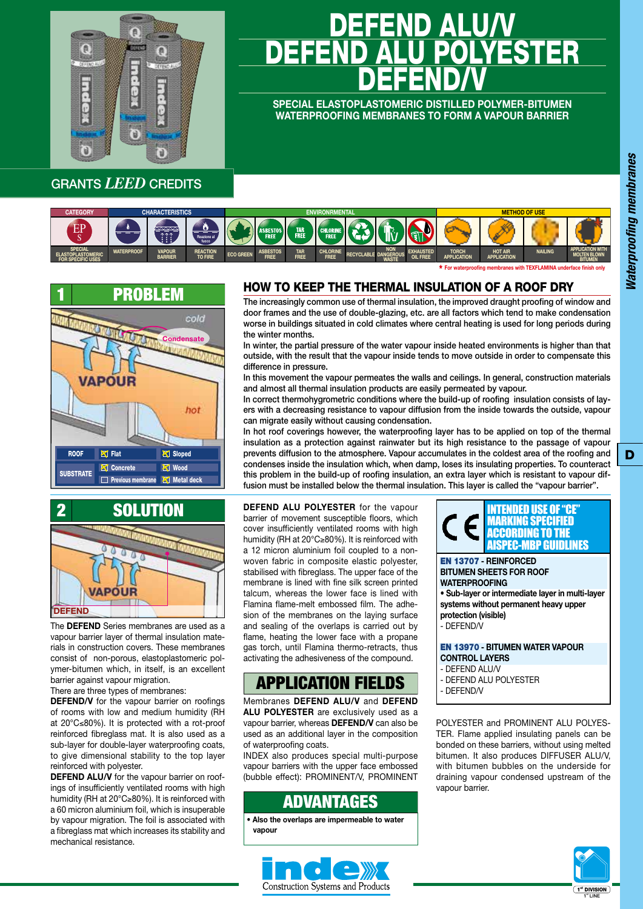

# <u>DEFEND ALU/V</u> DEFEND ALU POLYESTER DEFEND/V

**SPECIAL ELASTOPLASTOMERIC DISTILLED POLYMER-BITUMEN WATERPROOFING MEMBRANES TO FORM A VAPOUR BARRIER**

#### GRANTS *LEED* CREDITS



\* **For waterproofi ng membranes with TEXFLAMINA underface fi nish only**





The **DEFEND** Series membranes are used as a vapour barrier layer of thermal insulation materials in construction covers. These membranes consist of non-porous, elastoplastomeric polymer-bitumen which, in itself, is an excellent barrier against vapour migration.

There are three types of membranes:

**DEFEND/V** for the vapour barrier on roofings of rooms with low and medium humidity (RH at 20°C≤80%). It is protected with a rot-proof reinforced fibreglass mat. It is also used as a sub-layer for double-layer waterproofing coats, to give dimensional stability to the top layer reinforced with polyester.

**DEFEND ALU/V** for the vapour barrier on roofings of insufficiently ventilated rooms with high humidity (RH at 20°C≥80%). It is reinforced with a 60 micron aluminium foil, which is insuperable by vapour migration. The foil is associated with a fibreglass mat which increases its stability and mechanical resistance.

#### HOW TO KEEP THE THERMAL INSULATION OF A ROOF DRY

The increasingly common use of thermal insulation, the improved draught proofing of window and door frames and the use of double-glazing, etc. are all factors which tend to make condensation worse in buildings situated in cold climates where central heating is used for long periods during the winter months.

In winter, the partial pressure of the water vapour inside heated environments is higher than that outside, with the result that the vapour inside tends to move outside in order to compensate this difference in pressure.

In this movement the vapour permeates the walls and ceilings. In general, construction materials and almost all thermal insulation products are easily permeated by vapour.

In correct thermohygrometric conditions where the build-up of roofing insulation consists of layers with a decreasing resistance to vapour diffusion from the inside towards the outside, vapour can migrate easily without causing condensation.

In hot roof coverings however, the waterproofing layer has to be applied on top of the thermal insulation as a protection against rainwater but its high resistance to the passage of vapour prevents diffusion to the atmosphere. Vapour accumulates in the coldest area of the roofing and condenses inside the insulation which, when damp, loses its insulating properties. To counteract this problem in the build-up of roofing insulation, an extra layer which is resistant to vapour diffusion must be installed below the thermal insulation. This layer is called the "vapour barrier".

**DEFEND ALU POLYESTER** for the vapour barrier of movement susceptible floors, which cover insufficiently ventilated rooms with high humidity (RH at 20°C≥80%). It is reinforced with a 12 micron aluminium foil coupled to a nonwoven fabric in composite elastic polyester, stabilised with fibreglass. The upper face of the membrane is lined with fine silk screen printed talcum, whereas the lower face is lined with Flamina flame-melt embossed film. The adhesion of the membranes on the laying surface and sealing of the overlaps is carried out by flame, heating the lower face with a propane gas torch, until Flamina thermo-retracts, thus activating the adhesiveness of the compound.

## APPLICATION FIELDS

Membranes **DEFEND ALU/V** and **DEFEND ALU POLYESTER** are exclusively used as a vapour barrier, whereas **DEFEND/V** can also be used as an additional layer in the composition of waterproofing coats.

INDEX also produces special multi-purpose vapour barriers with the upper face embossed (bubble effect): PROMINENT/V, PROMINENT

### ADVANTAGES

**• Also the overlaps are impermeable to water vapour**



EN 13707 **- REINFORCED BITUMEN SHEETS FOR ROOF WATERPROOFING • Sub-layer or intermediate layer in multi-layer**  INTENDED USE OF "CE MARKING SPECIFIED ACCORDING TO THE AISPEC-MBP GUIDLINES

**systems without permanent heavy upper protection (visible)** - DEFEND/V

EN 13970 **- BITUMEN WATER VAPOUR CONTROL LAYERS**

- DEFEND ALU/V
- DEFEND ALU POLYESTER
- DEFEND/V

POLYESTER and PROMINENT ALU POLYES-TER. Flame applied insulating panels can be bonded on these barriers, without using melted bitumen. It also produces DIFFUSER ALU/V, with bitumen bubbles on the underside for draining vapour condensed upstream of the vapour barrier.



D